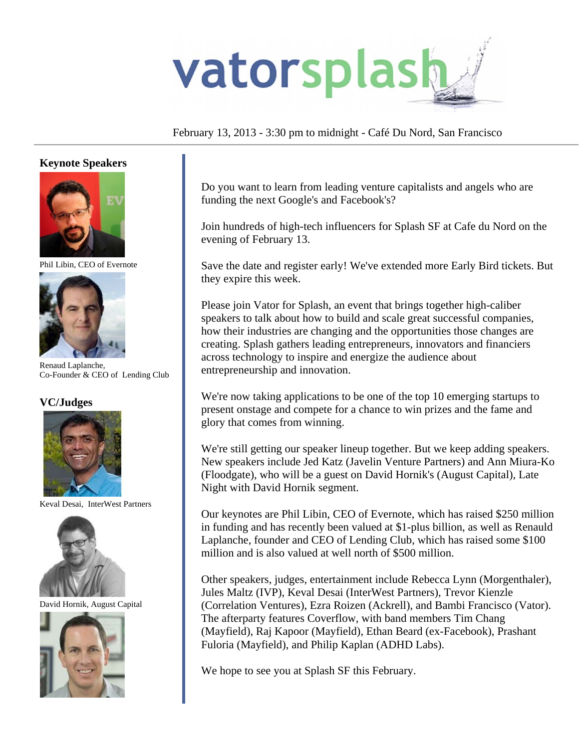

## February 13, 2013 - 3:30 pm to midnight - Café Du Nord, San Francisco

### **Keynote Speakers**



Phil Libin, CEO of Evernote



Renaud Laplanche, Co-Founder & CEO of Lending Club

### **VC/Judges**



Keval Desai, InterWest Partners



David Hornik, August Capital



Do you want to learn from leading venture capitalists and angels who are funding the next Google's and Facebook's?

Join hundreds of high-tech influencers for Splash SF at Cafe du Nord on the evening of February 13.

Save the date and register early! We've extended more Early Bird tickets. But they expire this week.

Please join Vator for Splash, an event that brings together high-caliber speakers to talk about how to build and scale great successful companies, how their industries are changing and the opportunities those changes are creating. Splash gathers leading entrepreneurs, innovators and financiers across technology to inspire and energize the audience about entrepreneurship and innovation.

We're now taking applications to be one of the top 10 emerging startups to present onstage and compete for a chance to win prizes and the fame and glory that comes from winning.

We're still getting our speaker lineup together. But we keep adding speakers. New speakers include Jed Katz (Javelin Venture Partners) and Ann Miura-Ko (Floodgate), who will be a guest on David Hornik's (August Capital), Late Night with David Hornik segment.

Our keynotes are Phil Libin, CEO of Evernote, which has raised \$250 million in funding and has recently been valued at \$1-plus billion, as well as Renauld Laplanche, founder and CEO of Lending Club, which has raised some \$100 million and is also valued at well north of \$500 million.

Other speakers, judges, entertainment include Rebecca Lynn (Morgenthaler), Jules Maltz (IVP), Keval Desai (InterWest Partners), Trevor Kienzle (Correlation Ventures), Ezra Roizen (Ackrell), and Bambi Francisco (Vator). The afterparty features Coverflow, with band members Tim Chang (Mayfield), Raj Kapoor (Mayfield), Ethan Beard (ex-Facebook), Prashant Fuloria (Mayfield), and Philip Kaplan (ADHD Labs).

We hope to see you at Splash SF this February.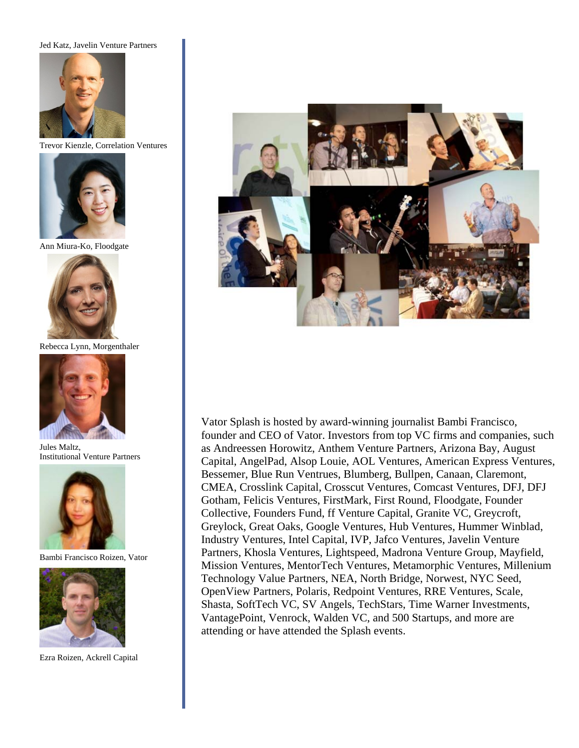#### Jed Katz, Javelin Venture Partners



Trevor Kienzle, Correlation Ventures



Ann Miura-Ko, Floodgate



Rebecca Lynn, Morgenthaler



Jules Maltz, Institutional Venture Partners



Bambi Francisco Roizen, Vator



Ezra Roizen, Ackrell Capital



Vator Splash is hosted by award-winning journalist Bambi Francisco, founder and CEO of Vator. Investors from top VC firms and companies, such as Andreessen Horowitz, Anthem Venture Partners, Arizona Bay, August Capital, AngelPad, Alsop Louie, AOL Ventures, American Express Ventures, Bessemer, Blue Run Ventrues, Blumberg, Bullpen, Canaan, Claremont, CMEA, Crosslink Capital, Crosscut Ventures, Comcast Ventures, DFJ, DFJ Gotham, Felicis Ventures, FirstMark, First Round, Floodgate, Founder Collective, Founders Fund, ff Venture Capital, Granite VC, Greycroft, Greylock, Great Oaks, Google Ventures, Hub Ventures, Hummer Winblad, Industry Ventures, Intel Capital, IVP, Jafco Ventures, Javelin Venture Partners, Khosla Ventures, Lightspeed, Madrona Venture Group, Mayfield, Mission Ventures, MentorTech Ventures, Metamorphic Ventures, Millenium Technology Value Partners, NEA, North Bridge, Norwest, NYC Seed, OpenView Partners, Polaris, Redpoint Ventures, RRE Ventures, Scale, Shasta, SoftTech VC, SV Angels, TechStars, Time Warner Investments, VantagePoint, Venrock, Walden VC, and 500 Startups, and more are attending or have attended the Splash events.